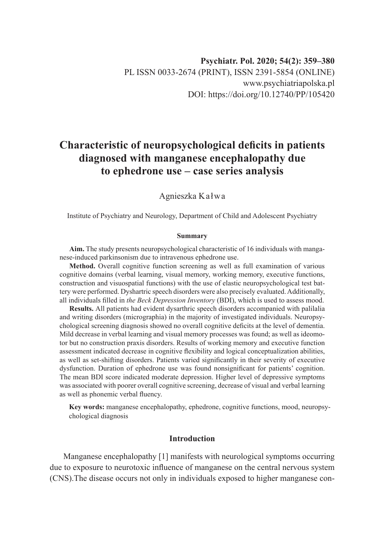# **Characteristic of neuropsychological deficits in patients diagnosed with manganese encephalopathy due to ephedrone use – case series analysis**

Agnieszka Kałwa

Institute of Psychiatry and Neurology, Department of Child and Adolescent Psychiatry

#### **Summary**

**Aim.** The study presents neuropsychological characteristic of 16 individuals with manganese-induced parkinsonism due to intravenous ephedrone use.

**Method.** Overall cognitive function screening as well as full examination of various cognitive domains (verbal learning, visual memory, working memory, executive functions, construction and visuospatial functions) with the use of elastic neuropsychological test battery were performed. Dyshartric speech disorders were also precisely evaluated. Additionally, all individuals filled in *the Beck Depression Inventory* (BDI), which is used to assess mood.

**Results.** All patients had evident dysarthric speech disorders accompanied with palilalia and writing disorders (micrographia) in the majority of investigated individuals. Neuropsychological screening diagnosis showed no overall cognitive deficits at the level of dementia. Mild decrease in verbal learning and visual memory processes was found; as well as ideomotor but no construction praxis disorders. Results of working memory and executive function assessment indicated decrease in cognitive flexibility and logical conceptualization abilities, as well as set-shifting disorders. Patients varied significantly in their severity of executive dysfunction. Duration of ephedrone use was found nonsignificant for patients' cognition. The mean BDI score indicated moderate depression. Higher level of depressive symptoms was associated with poorer overall cognitive screening, decrease of visual and verbal learning as well as phonemic verbal fluency.

**Key words:** manganese encephalopathy, ephedrone, cognitive functions, mood, neuropsychological diagnosis

### **Introduction**

Manganese encephalopathy [1] manifests with neurological symptoms occurring due to exposure to neurotoxic influence of manganese on the central nervous system (CNS).The disease occurs not only in individuals exposed to higher manganese con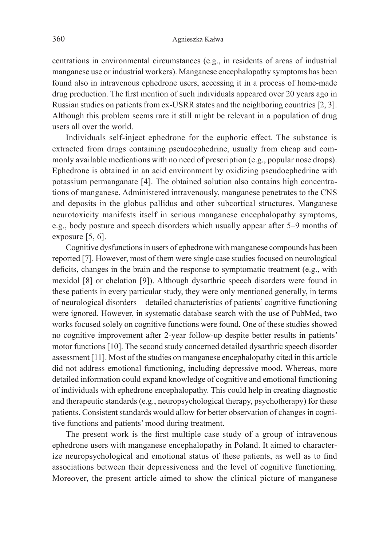centrations in environmental circumstances (e.g., in residents of areas of industrial manganese use or industrial workers). Manganese encephalopathy symptoms has been found also in intravenous ephedrone users, accessing it in a process of home-made drug production. The first mention of such individuals appeared over 20 years ago in Russian studies on patients from ex-USRR states and the neighboring countries [2, 3]. Although this problem seems rare it still might be relevant in a population of drug users all over the world.

Individuals self-inject ephedrone for the euphoric effect. The substance is extracted from drugs containing pseudoephedrine, usually from cheap and commonly available medications with no need of prescription (e.g., popular nose drops). Ephedrone is obtained in an acid environment by oxidizing pseudoephedrine with potassium permanganate [4]. The obtained solution also contains high concentrations of manganese. Administered intravenously, manganese penetrates to the CNS and deposits in the globus pallidus and other subcortical structures. Manganese neurotoxicity manifests itself in serious manganese encephalopathy symptoms, e.g., body posture and speech disorders which usually appear after 5–9 months of exposure [5, 6].

Cognitive dysfunctions in users of ephedrone with manganese compounds has been reported [7]. However, most of them were single case studies focused on neurological deficits, changes in the brain and the response to symptomatic treatment (e.g., with mexidol [8] or chelation [9]). Although dysarthric speech disorders were found in these patients in every particular study, they were only mentioned generally, in terms of neurological disorders – detailed characteristics of patients' cognitive functioning were ignored. However, in systematic database search with the use of PubMed, two works focused solely on cognitive functions were found. One of these studies showed no cognitive improvement after 2-year follow-up despite better results in patients' motor functions [10]. The second study concerned detailed dysarthric speech disorder assessment [11]. Most of the studies on manganese encephalopathy cited in this article did not address emotional functioning, including depressive mood. Whereas, more detailed information could expand knowledge of cognitive and emotional functioning of individuals with ephedrone encephalopathy. This could help in creating diagnostic and therapeutic standards (e.g., neuropsychological therapy, psychotherapy) for these patients. Consistent standards would allow for better observation of changes in cognitive functions and patients' mood during treatment.

The present work is the first multiple case study of a group of intravenous ephedrone users with manganese encephalopathy in Poland. It aimed to characterize neuropsychological and emotional status of these patients, as well as to find associations between their depressiveness and the level of cognitive functioning. Moreover, the present article aimed to show the clinical picture of manganese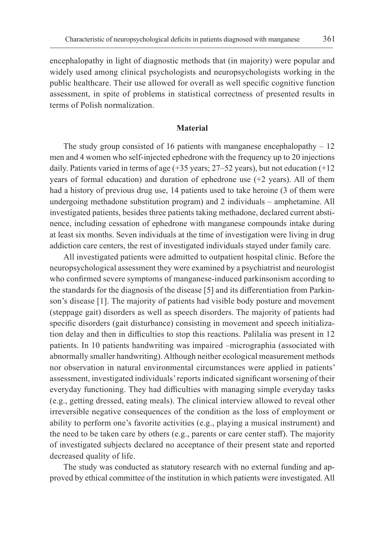encephalopathy in light of diagnostic methods that (in majority) were popular and widely used among clinical psychologists and neuropsychologists working in the public healthcare. Their use allowed for overall as well specific cognitive function assessment, in spite of problems in statistical correctness of presented results in terms of Polish normalization.

#### **Material**

The study group consisted of 16 patients with manganese encephalopathy  $-12$ men and 4 women who self-injected ephedrone with the frequency up to 20 injections daily. Patients varied in terms of age  $(+35 \text{ years}; 27-52 \text{ years})$ , but not education  $(+12 \text{ year})$ years of formal education) and duration of ephedrone use (+2 years). All of them had a history of previous drug use, 14 patients used to take heroine (3 of them were undergoing methadone substitution program) and 2 individuals – amphetamine. All investigated patients, besides three patients taking methadone, declared current abstinence, including cessation of ephedrone with manganese compounds intake during at least six months. Seven individuals at the time of investigation were living in drug addiction care centers, the rest of investigated individuals stayed under family care.

All investigated patients were admitted to outpatient hospital clinic. Before the neuropsychological assessment they were examined by a psychiatrist and neurologist who confirmed severe symptoms of manganese-induced parkinsonism according to the standards for the diagnosis of the disease [5] and its differentiation from Parkinson's disease [1]. The majority of patients had visible body posture and movement (steppage gait) disorders as well as speech disorders. The majority of patients had specific disorders (gait disturbance) consisting in movement and speech initialization delay and then in difficulties to stop this reactions. Palilalia was present in 12 patients. In 10 patients handwriting was impaired –micrographia (associated with abnormally smaller handwriting). Although neither ecological measurement methods nor observation in natural environmental circumstances were applied in patients' assessment, investigated individuals' reports indicated significant worsening of their everyday functioning. They had difficulties with managing simple everyday tasks (e.g., getting dressed, eating meals). The clinical interview allowed to reveal other irreversible negative consequences of the condition as the loss of employment or ability to perform one's favorite activities (e.g., playing a musical instrument) and the need to be taken care by others (e.g., parents or care center staff). The majority of investigated subjects declared no acceptance of their present state and reported decreased quality of life.

The study was conducted as statutory research with no external funding and approved by ethical committee of the institution in which patients were investigated. All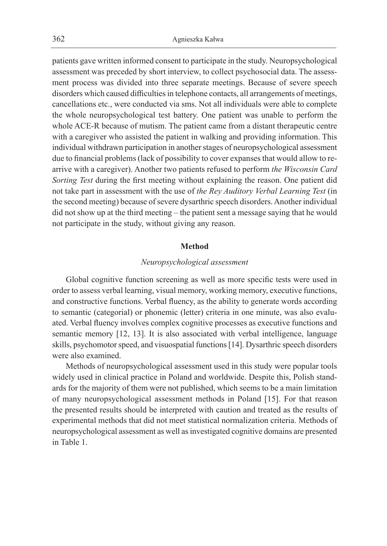patients gave written informed consent to participate in the study. Neuropsychological assessment was preceded by short interview, to collect psychosocial data. The assessment process was divided into three separate meetings. Because of severe speech disorders which caused difficulties in telephone contacts, all arrangements of meetings, cancellations etc., were conducted via sms. Not all individuals were able to complete the whole neuropsychological test battery. One patient was unable to perform the whole ACE-R because of mutism. The patient came from a distant therapeutic centre with a caregiver who assisted the patient in walking and providing information. This individual withdrawn participation in another stages of neuropsychological assessment due to financial problems (lack of possibility to cover expanses that would allow to rearrive with a caregiver). Another two patients refused to perform *the Wisconsin Card Sorting Test* during the first meeting without explaining the reason. One patient did not take part in assessment with the use of *the Rey Auditory Verbal Learning Test* (in the second meeting) because of severe dysarthric speech disorders. Another individual did not show up at the third meeting – the patient sent a message saying that he would not participate in the study, without giving any reason.

#### **Method**

### *Neuropsychological assessment*

Global cognitive function screening as well as more specific tests were used in order to assess verbal learning, visual memory, working memory, executive functions, and constructive functions. Verbal fluency, as the ability to generate words according to semantic (categorial) or phonemic (letter) criteria in one minute, was also evaluated. Verbal fluency involves complex cognitive processes as executive functions and semantic memory [12, 13]. It is also associated with verbal intelligence, language skills, psychomotor speed, and visuospatial functions [14]. Dysarthric speech disorders were also examined.

Methods of neuropsychological assessment used in this study were popular tools widely used in clinical practice in Poland and worldwide. Despite this, Polish standards for the majority of them were not published, which seems to be a main limitation of many neuropsychological assessment methods in Poland [15]. For that reason the presented results should be interpreted with caution and treated as the results of experimental methods that did not meet statistical normalization criteria. Methods of neuropsychological assessment as well as investigated cognitive domains are presented in Table 1.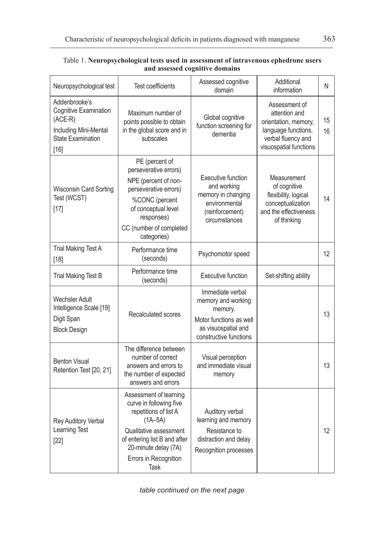| Neuropsychological test                                                                                                   | <b>Test coefficients</b>                                                                                                                                                                                   | Assessed cognitive<br>domain                                                                                                  | Additional<br>information                                                                                                     | Ν        |
|---------------------------------------------------------------------------------------------------------------------------|------------------------------------------------------------------------------------------------------------------------------------------------------------------------------------------------------------|-------------------------------------------------------------------------------------------------------------------------------|-------------------------------------------------------------------------------------------------------------------------------|----------|
| Addenbrooke's<br>Cognitive Examination<br>$(ACE-R)$<br><b>Including Mini-Mental</b><br><b>State Examination</b><br>$[16]$ | Maximum number of<br>points possible to obtain<br>in the global score and in<br>subscales                                                                                                                  | Global cognitive<br>function screening for<br>dementia                                                                        | Assessment of<br>attention and<br>orientation, memory,<br>language functions,<br>verbal fluency and<br>visuospatial functions | 15<br>16 |
| Wisconsin Card Sorting<br>Test (WCST)<br>$[17]$                                                                           | PE (percent of<br>perseverative errors)<br>NPE (percent of non-<br>perseverative errors)<br>%CONC (percent<br>of conceptual level<br>responses)<br>CC (number of completed<br>categories)                  | <b>Executive function</b><br>and working<br>memory in changing<br>environmental<br>(reinforcement)<br>circumstances           | Measurement<br>of cognitive<br>flexibility, logical<br>conceptualization<br>and the effectiveness<br>of thinking              | 14       |
| Trial Making Test A<br>[18]                                                                                               | Performance time<br>(seconds)                                                                                                                                                                              | Psychomotor speed                                                                                                             |                                                                                                                               | 12       |
| <b>Trial Making Test B</b>                                                                                                | Performance time<br>(seconds)                                                                                                                                                                              | Executive function                                                                                                            | Set-shifting ability                                                                                                          |          |
| <b>Wechsler Adult</b><br>Intelligence Scale [19]<br>Digit Span<br><b>Block Design</b>                                     | Recalculated scores                                                                                                                                                                                        | Immediate verbal<br>memory and working<br>memory.<br>Motor functions as well<br>as visuospatial and<br>constructive functions |                                                                                                                               | 13       |
| <b>Benton Visual</b><br>Retention Test [20, 21]                                                                           | The difference between<br>number of correct<br>answers and errors to<br>the number of expected<br>answers and errors                                                                                       | Visual perception<br>and immediate visual<br>memory                                                                           |                                                                                                                               | 13       |
| Rey Auditory Verbal<br>Learning Test<br>$[22]$                                                                            | Assessment of learning<br>curve in following five<br>repetitions of list A<br>$(1A-5A)$<br>Qualitative assessment<br>of entering list B and after<br>20-minute delay (7A)<br>Errors in Recognition<br>Task | Auditory verbal<br>learning and memory<br>Resistance to<br>distraction and delay<br>Recognition processes                     |                                                                                                                               | 12       |

| Table 1. Neuropsychological tests used in assessment of intravenous ephedrone users |  |
|-------------------------------------------------------------------------------------|--|
| and assessed cognitive domains                                                      |  |

*table continued on the next page*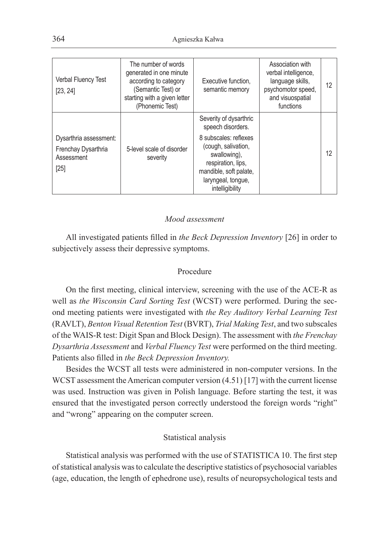| Verbal Fluency Test<br>[23, 24]                                     | The number of words<br>generated in one minute<br>according to category<br>(Semantic Test) or<br>starting with a given letter<br>(Phonemic Test) | Executive function.<br>semantic memory                                                                                                                                                               | Association with<br>verbal intelligence,<br>language skills,<br>psychomotor speed,<br>and visuospatial<br>functions | 12 |
|---------------------------------------------------------------------|--------------------------------------------------------------------------------------------------------------------------------------------------|------------------------------------------------------------------------------------------------------------------------------------------------------------------------------------------------------|---------------------------------------------------------------------------------------------------------------------|----|
| Dysarthria assessment:<br>Frenchay Dysarthria<br>Assessment<br>[25] | 5-level scale of disorder<br>severity                                                                                                            | Severity of dysarthric<br>speech disorders.<br>8 subscales: reflexes<br>(cough, salivation,<br>swallowing),<br>respiration, lips,<br>mandible, soft palate,<br>laryngeal, tongue,<br>intelligibility |                                                                                                                     | 12 |

# *Mood assessment*

All investigated patients filled in *the Beck Depression Inventory* [26] in order to subjectively assess their depressive symptoms.

# Procedure

On the first meeting, clinical interview, screening with the use of the ACE-R as well as *the Wisconsin Card Sorting Test* (WCST) were performed. During the second meeting patients were investigated with *the Rey Auditory Verbal Learning Test* (RAVLT), *Benton Visual Retention Test* (BVRT), *Trial Making Test*, and two subscales of the WAIS-R test: Digit Span and Block Design). The assessment with *the Frenchay Dysarthria Assessment* and *Verbal Fluency Test* were performed on the third meeting. Patients also filled in *the Beck Depression Inventory.*

Besides the WCST all tests were administered in non-computer versions. In the WCST assessment the American computer version  $(4.51)$  [17] with the current license was used. Instruction was given in Polish language. Before starting the test, it was ensured that the investigated person correctly understood the foreign words "right" and "wrong" appearing on the computer screen.

### Statistical analysis

Statistical analysis was performed with the use of STATISTICA 10. The first step of statistical analysis was to calculate the descriptive statistics of psychosocial variables (age, education, the length of ephedrone use), results of neuropsychological tests and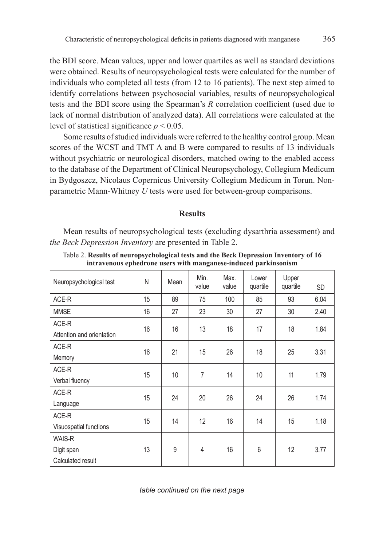the BDI score. Mean values, upper and lower quartiles as well as standard deviations were obtained. Results of neuropsychological tests were calculated for the number of individuals who completed all tests (from 12 to 16 patients). The next step aimed to identify correlations between psychosocial variables, results of neuropsychological tests and the BDI score using the Spearman's *R* correlation coefficient (used due to lack of normal distribution of analyzed data). All correlations were calculated at the level of statistical significance  $p < 0.05$ .

Some results of studied individuals were referred to the healthy control group. Mean scores of the WCST and TMT A and B were compared to results of 13 individuals without psychiatric or neurological disorders, matched owing to the enabled access to the database of the Department of Clinical Neuropsychology, Collegium Medicum in Bydgoszcz, Nicolaus Copernicus University Collegium Medicum in Torun. Nonparametric Mann-Whitney *U* tests were used for between-group comparisons.

### **Results**

Mean results of neuropsychological tests (excluding dysarthria assessment) and *the Beck Depression Inventory* are presented in Table 2.

| Neuropsychological test                   | N  | Mean | Min.<br>value  | Max.<br>value | Lower<br>quartile | Upper<br>quartile | <b>SD</b> |
|-------------------------------------------|----|------|----------------|---------------|-------------------|-------------------|-----------|
| ACE-R                                     | 15 | 89   | 75             | 100           | 85                | 93                | 6.04      |
| <b>MMSE</b>                               | 16 | 27   | 23             | 30            | 27                | 30                | 2.40      |
| ACE-R<br>Attention and orientation        | 16 | 16   | 13             | 18            | 17                | 18                | 1.84      |
| ACE-R<br>Memory                           | 16 | 21   | 15             | 26            | 18                | 25                | 3.31      |
| ACE-R<br>Verbal fluency                   | 15 | 10   | $\overline{7}$ | 14            | 10                | 11                | 1.79      |
| ACE-R<br>Language                         | 15 | 24   | 20             | 26            | 24                | 26                | 1.74      |
| ACE-R<br>Visuospatial functions           | 15 | 14   | 12             | 16            | 14                | 15                | 1.18      |
| WAIS-R<br>Digit span<br>Calculated result | 13 | 9    | 4              | 16            | 6                 | 12                | 3.77      |

Table 2. **Results of neuropsychological tests and the Beck Depression Inventory of 16 intravenous ephedrone users with manganese-induced parkinsonism**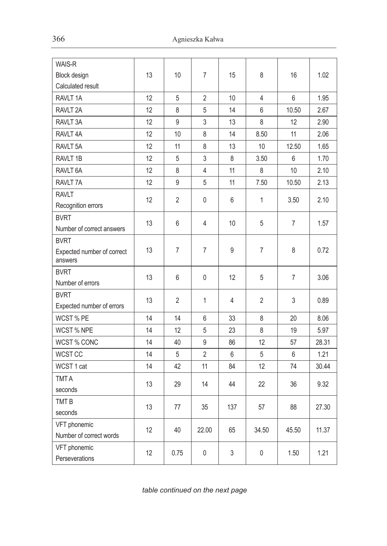| <b>WAIS-R</b>                         |    |                |                |     |                |       |       |
|---------------------------------------|----|----------------|----------------|-----|----------------|-------|-------|
| Block design                          | 13 | 10             | $\overline{7}$ | 15  | 8              | 16    | 1.02  |
| Calculated result                     |    |                |                |     |                |       |       |
| RAVLT <sub>1A</sub>                   | 12 | 5              | $\overline{2}$ | 10  | 4              | 6     | 1.95  |
| RAVLT <sub>2A</sub>                   | 12 | 8              | 5              | 14  | $6\,$          | 10.50 | 2.67  |
| RAVLT 3A                              | 12 | 9              | 3              | 13  | 8              | 12    |       |
|                                       |    |                |                |     |                |       | 2.90  |
| RAVLT <sub>4A</sub>                   | 12 | 10             | 8              | 14  | 8.50           | 11    | 2.06  |
| RAVLT 5A                              | 12 | 11             | 8              | 13  | 10             | 12.50 | 1.65  |
| RAVLT 1B                              | 12 | 5              | 3              | 8   | 3.50           | 6     | 1.70  |
| RAVLT 6A                              | 12 | 8              | $\overline{4}$ | 11  | 8              | 10    | 2.10  |
| RAVLT 7A                              | 12 | 9              | 5              | 11  | 7.50           | 10.50 | 2.13  |
| <b>RAVLT</b>                          | 12 | $\overline{2}$ | 0              | 6   | 1              | 3.50  | 2.10  |
| Recognition errors                    |    |                |                |     |                |       |       |
| <b>BVRT</b>                           | 13 | 6              | 4              | 10  | 5              | 7     | 1.57  |
| Number of correct answers             |    |                |                |     |                |       |       |
| <b>BVRT</b>                           |    |                |                |     |                |       |       |
| Expected number of correct<br>answers | 13 | $\overline{7}$ | $\overline{7}$ | 9   | $\overline{7}$ | 8     | 0.72  |
| <b>BVRT</b>                           | 13 |                |                | 12  |                |       |       |
| Number of errors                      |    | 6              | 0              |     | 5              | 7     | 3.06  |
| <b>BVRT</b>                           | 13 | $\overline{2}$ | 1              | 4   | $\overline{2}$ | 3     | 0.89  |
| Expected number of errors             |    |                |                |     |                |       |       |
| WCST % PE                             | 14 | 14             | 6              | 33  | 8              | 20    | 8.06  |
| <b>WCST % NPE</b>                     | 14 | 12             | 5              | 23  | 8              | 19    | 5.97  |
| <b>WCST % CONC</b>                    | 14 | 40             | 9              | 86  | 12             | 57    | 28.31 |
| WCST CC                               | 14 | 5              | $\overline{2}$ | 6   | 5              | 6     | 1.21  |
| WCST 1 cat                            | 14 | 42             | 11             | 84  | 12             | 74    | 30.44 |
| <b>TMTA</b>                           |    |                |                |     |                |       |       |
| seconds                               | 13 | 29             | 14             | 44  | 22             | 36    | 9.32  |
| TMT <sub>B</sub>                      |    |                |                |     |                |       |       |
| seconds                               | 13 | 77             | 35             | 137 | 57             | 88    | 27.30 |
| VFT phonemic                          |    |                |                |     |                |       |       |
| Number of correct words               | 12 | 40             | 22.00          | 65  | 34.50          | 45.50 | 11.37 |
| VFT phonemic                          |    |                |                |     |                |       |       |
| Perseverations                        | 12 | 0.75           | 0              | 3   | 0              | 1.50  | 1.21  |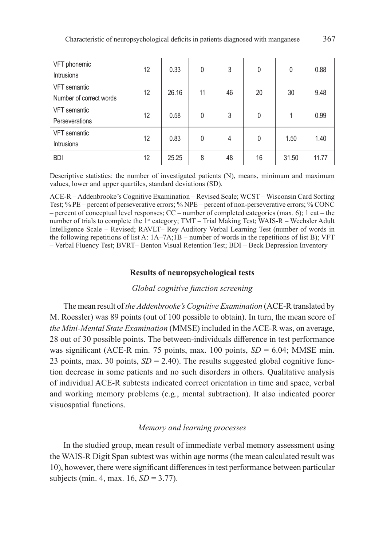| VFT phonemic<br>Intrusions                     | 12              | 0.33  | 0            | 3  | 0  | 0     | 0.88  |
|------------------------------------------------|-----------------|-------|--------------|----|----|-------|-------|
| <b>VFT</b> semantic<br>Number of correct words | 12              | 26.16 | 11           | 46 | 20 | 30    | 9.48  |
| <b>VFT</b> semantic<br>Perseverations          | 12              | 0.58  | 0            | 3  | 0  | 1     | 0.99  |
| <b>VFT</b> semantic<br><b>Intrusions</b>       | 12              | 0.83  | $\mathbf{0}$ | 4  | 0  | 1.50  | 1.40  |
| <b>BDI</b>                                     | 12 <sup>°</sup> | 25.25 | 8            | 48 | 16 | 31.50 | 11.77 |

Descriptive statistics: the number of investigated patients (N), means, minimum and maximum values, lower and upper quartiles, standard deviations (SD).

ACE-R – Addenbrooke's Cognitive Examination – Revised Scale; WCST – Wisconsin Card Sorting Test; % PE – percent of perseverative errors; % NPE – percent of non-perseverative errors; % CONC – percent of conceptual level responses;  $CC$  – number of completed categories (max. 6); 1 cat – the number of trials to complete the 1<sup>st</sup> category; TMT – Trial Making Test; WAIS-R – Wechsler Adult Intelligence Scale – Revised; RAVLT– Rey Auditory Verbal Learning Test (number of words in the following repetitions of list A: 1A–7A;1B – number of words in the repetitions of list B); VFT – Verbal Fluency Test; BVRT– Benton Visual Retention Test; BDI – Beck Depression Inventory

### **Results of neuropsychological tests**

### *Global cognitive function screening*

The mean result of *the Addenbrooke's Cognitive Examination* (ACE-R translated by M. Roessler) was 89 points (out of 100 possible to obtain). In turn, the mean score of *the Mini-Mental State Examination* (MMSE) included in the ACE-R was, on average, 28 out of 30 possible points. The between-individuals difference in test performance was significant (ACE-R min. 75 points, max. 100 points,  $SD = 6.04$ ; MMSE min. 23 points, max. 30 points,  $SD = 2.40$ ). The results suggested global cognitive function decrease in some patients and no such disorders in others. Qualitative analysis of individual ACE-R subtests indicated correct orientation in time and space, verbal and working memory problems (e.g., mental subtraction). It also indicated poorer visuospatial functions.

### *Memory and learning processes*

In the studied group, mean result of immediate verbal memory assessment using the WAIS-R Digit Span subtest was within age norms (the mean calculated result was 10), however, there were significant differences in test performance between particular subjects (min. 4, max. 16, *SD* = 3.77).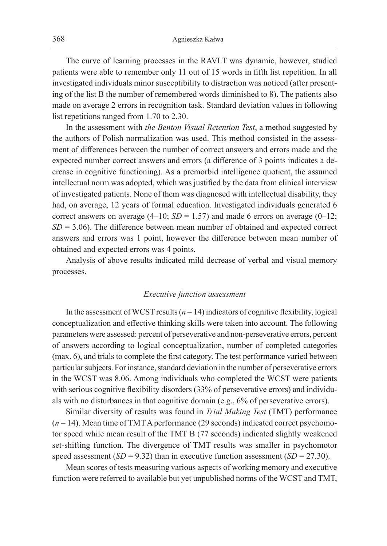The curve of learning processes in the RAVLT was dynamic, however, studied patients were able to remember only 11 out of 15 words in fifth list repetition. In all investigated individuals minor susceptibility to distraction was noticed (after presenting of the list B the number of remembered words diminished to 8). The patients also made on average 2 errors in recognition task. Standard deviation values in following list repetitions ranged from 1.70 to 2.30.

In the assessment with *the Benton Visual Retention Test*, a method suggested by the authors of Polish normalization was used. This method consisted in the assessment of differences between the number of correct answers and errors made and the expected number correct answers and errors (a difference of 3 points indicates a decrease in cognitive functioning). As a premorbid intelligence quotient, the assumed intellectual norm was adopted, which was justified by the data from clinical interview of investigated patients. None of them was diagnosed with intellectual disability, they had, on average, 12 years of formal education. Investigated individuals generated 6 correct answers on average  $(4-10; SD = 1.57)$  and made 6 errors on average  $(0-12;$ *SD* = 3.06). The difference between mean number of obtained and expected correct answers and errors was 1 point, however the difference between mean number of obtained and expected errors was 4 points.

Analysis of above results indicated mild decrease of verbal and visual memory processes.

#### *Executive function assessment*

In the assessment of WCST results  $(n = 14)$  indicators of cognitive flexibility, logical conceptualization and effective thinking skills were taken into account. The following parameters were assessed: percent of perseverative and non-perseverative errors, percent of answers according to logical conceptualization, number of completed categories (max. 6), and trials to complete the first category. The test performance varied between particular subjects. For instance, standard deviation in the number of perseverative errors in the WCST was 8.06. Among individuals who completed the WCST were patients with serious cognitive flexibility disorders (33% of perseverative errors) and individuals with no disturbances in that cognitive domain (e.g., 6% of perseverative errors).

Similar diversity of results was found in *Trial Making Test* (TMT) performance  $(n=14)$ . Mean time of TMT A performance (29 seconds) indicated correct psychomotor speed while mean result of the TMT B (77 seconds) indicated slightly weakened set-shifting function. The divergence of TMT results was smaller in psychomotor speed assessment (*SD* = 9.32) than in executive function assessment (*SD* = 27.30).

Mean scores of tests measuring various aspects of working memory and executive function were referred to available but yet unpublished norms of the WCST and TMT,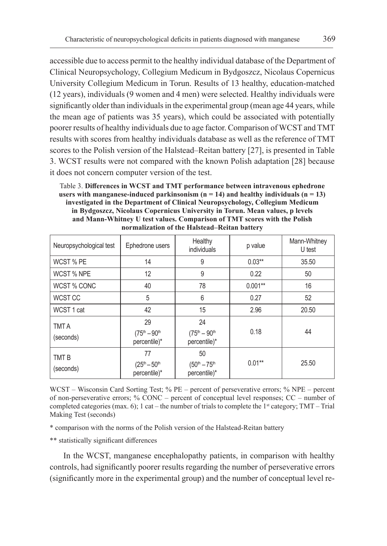accessible due to access permit to the healthy individual database of the Department of Clinical Neuropsychology, Collegium Medicum in Bydgoszcz, Nicolaus Copernicus University Collegium Medicum in Torun. Results of 13 healthy, education-matched (12 years), individuals (9 women and 4 men) were selected. Healthy individuals were significantly older than individuals in the experimental group (mean age 44 years, while the mean age of patients was 35 years), which could be associated with potentially poorer results of healthy individuals due to age factor. Comparison of WCST and TMT results with scores from healthy individuals database as well as the reference of TMT scores to the Polish version of the Halstead–Reitan battery [27], is presented in Table 3. WCST results were not compared with the known Polish adaptation [28] because it does not concern computer version of the test.

Table 3. **Differences in WCST and TMT performance between intravenous ephedrone**  users with manganese-induced parkinsonism  $(n = 14)$  and healthy individuals  $(n = 13)$ **investigated in the Department of Clinical Neuropsychology, Collegium Medicum in Bydgoszcz, Nicolaus Copernicus University in Torun. Mean values, p levels and Mann-Whitney U test values. Comparison of TMT scores with the Polish normalization of the Halstead–Reitan battery**

| Neuropsychological test       | Ephedrone users                       | Healthy<br>individuals                      | p value   | Mann-Whitney<br>U test |
|-------------------------------|---------------------------------------|---------------------------------------------|-----------|------------------------|
| WCST % PE                     | 14                                    | 9                                           | $0.03***$ | 35.50                  |
| WCST % NPE                    | 12                                    | 9                                           | 0.22      | 50                     |
| WCST % CONC                   | 40                                    | 78                                          | $0.001**$ | 16                     |
| WCST CC                       | 5                                     | 6                                           | 0.27      | 52                     |
| WCST 1 cat                    | 42                                    | 15                                          | 2.96      | 20.50                  |
| <b>TMTA</b><br>(seconds)      | 29<br>$(75th - 90th)$<br>percentile)* | 24<br>$(75^{th} - 90^{th})$<br>percentile)* | 0.18      | 44                     |
| TMT <sub>B</sub><br>(seconds) | 77<br>$(25th - 50th)$<br>percentile)* | 50<br>$(50^{th} - 75^{th})$<br>percentile)* | $0.01***$ | 25.50                  |

WCST – Wisconsin Card Sorting Test; % PE – percent of perseverative errors; % NPE – percent of non-perseverative errors; % CONC – percent of conceptual level responses; CC – number of completed categories (max. 6); 1 cat – the number of trials to complete the  $1<sup>st</sup>$  category; TMT – Trial Making Test (seconds)

\* comparison with the norms of the Polish version of the Halstead-Reitan battery

\*\* statistically significant differences

In the WCST, manganese encephalopathy patients, in comparison with healthy controls, had significantly poorer results regarding the number of perseverative errors (significantly more in the experimental group) and the number of conceptual level re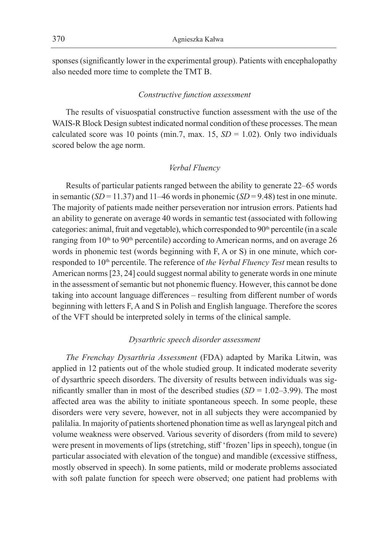sponses (significantly lower in the experimental group). Patients with encephalopathy also needed more time to complete the TMT B.

### *Constructive function assessment*

The results of visuospatial constructive function assessment with the use of the WAIS-R Block Design subtest indicated normal condition of these processes. The mean calculated score was 10 points (min.7, max. 15,  $SD = 1.02$ ). Only two individuals scored below the age norm.

# *Verbal Fluency*

Results of particular patients ranged between the ability to generate 22–65 words in semantic ( $SD = 11.37$ ) and 11–46 words in phonemic ( $SD = 9.48$ ) test in one minute. The majority of patients made neither perseveration nor intrusion errors. Patients had an ability to generate on average 40 words in semantic test (associated with following categories: animal, fruit and vegetable), which corresponded to  $90<sup>th</sup>$  percentile (in a scale ranging from 10<sup>th</sup> to 90<sup>th</sup> percentile) according to American norms, and on average 26 words in phonemic test (words beginning with F, A or S) in one minute, which corresponded to 10<sup>th</sup> percentile. The reference of *the Verbal Fluency Test* mean results to American norms [23, 24] could suggest normal ability to generate words in one minute in the assessment of semantic but not phonemic fluency. However, this cannot be done taking into account language differences – resulting from different number of words beginning with letters F, A and S in Polish and English language. Therefore the scores of the VFT should be interpreted solely in terms of the clinical sample.

### *Dysarthric speech disorder assessment*

*The Frenchay Dysarthria Assessment* (FDA) adapted by Marika Litwin, was applied in 12 patients out of the whole studied group. It indicated moderate severity of dysarthric speech disorders. The diversity of results between individuals was significantly smaller than in most of the described studies  $(SD = 1.02-3.99)$ . The most affected area was the ability to initiate spontaneous speech. In some people, these disorders were very severe, however, not in all subjects they were accompanied by palilalia. In majority of patients shortened phonation time as well as laryngeal pitch and volume weakness were observed. Various severity of disorders (from mild to severe) were present in movements of lips (stretching, stiff 'frozen' lips in speech), tongue (in particular associated with elevation of the tongue) and mandible (excessive stiffness, mostly observed in speech). In some patients, mild or moderate problems associated with soft palate function for speech were observed; one patient had problems with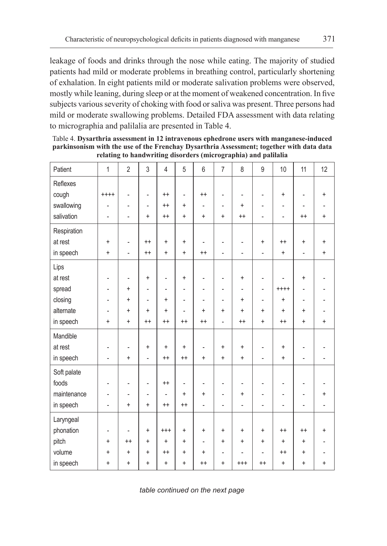leakage of foods and drinks through the nose while eating. The majority of studied patients had mild or moderate problems in breathing control, particularly shortening of exhalation. In eight patients mild or moderate salivation problems were observed, mostly while leaning, during sleep or at the moment of weakened concentration. In five subjects various severity of choking with food or saliva was present. Three persons had mild or moderate swallowing problems. Detailed FDA assessment with data relating to micrographia and palilalia are presented in Table 4.

| Patient     | $\mathbf{1}$                     | $\overline{2}$           | $\overline{3}$           | $\overline{4}$ | 5                        | $6\,$                    | $\overline{7}$           | 8                        | $\overline{9}$ | 10                       | 11             | 12        |
|-------------|----------------------------------|--------------------------|--------------------------|----------------|--------------------------|--------------------------|--------------------------|--------------------------|----------------|--------------------------|----------------|-----------|
| Reflexes    |                                  |                          |                          |                |                          |                          |                          |                          |                |                          |                |           |
| cough       | $++++$                           | $\overline{a}$           | ÷                        | $++$           | ÷                        | $^{++}$                  | $\overline{a}$           | $\overline{\phantom{0}}$ | -              | $\ddot{}$                | ٠              | +         |
| swallowing  | ä,                               | $\overline{\phantom{a}}$ | $\overline{\phantom{a}}$ | $++$           | $\ddot{}$                | $\overline{\phantom{a}}$ | $\overline{\phantom{0}}$ | $\ddot{}$                | $\overline{a}$ | $\overline{\phantom{0}}$ | L,             |           |
| salivation  | ÷                                | $\overline{a}$           | +                        | $^{++}$        | +                        | $\ddot{}$                | $\ddot{}$                | $^{++}$                  | $\overline{a}$ | $\overline{a}$           | $^{++}$        | +         |
| Respiration |                                  |                          |                          |                |                          |                          |                          |                          |                |                          |                |           |
| at rest     | $\begin{array}{c} + \end{array}$ | ٠                        | $^{++}$                  | $\ddot{}$      | $\ddot{}$                | $\overline{a}$           | ٠                        | ÷                        | $\ddot{}$      | $^{++}$                  | $\ddot{}$      | $\ddot{}$ |
| in speech   | $\ddot{}$                        | $\overline{a}$           | $^{++}$                  | $\ddot{}$      | $\ddot{}$                | $^{++}$                  | ÷                        | $\overline{a}$           | L,             | $\ddot{}$                | $\overline{a}$ | +         |
| Lips        |                                  |                          |                          |                |                          |                          |                          |                          |                |                          |                |           |
| at rest     | $\overline{\phantom{0}}$         | $\overline{\phantom{a}}$ | +                        | $\overline{a}$ | $\ddot{}$                | $\overline{\phantom{a}}$ | ٠                        | +                        | $\overline{a}$ | $\overline{a}$           | +              |           |
| spread      | ÷                                | $\ddot{}$                | ÷                        | $\overline{a}$ | $\overline{\phantom{0}}$ | $\overline{a}$           | $\overline{a}$           | $\overline{a}$           | ÷              | $++++$                   |                |           |
| closing     | ÷,                               | $\ddot{}$                | $\overline{a}$           | $\ddot{}$      | $\overline{a}$           | $\overline{a}$           | ÷,                       | +                        | ÷,             | $\ddot{}$                | $\overline{a}$ |           |
| alternate   | ÷                                | $\ddot{}$                | $\ddot{}$                | $\ddot{}$      | $\overline{\phantom{m}}$ | $\ddot{}$                | $\ddot{}$                | $\ddot{}$                | $\ddot{}$      | $\ddot{}$                | $\ddot{}$      |           |
| in speech   | $\ddot{}$                        | $\ddot{}$                | $^{++}$                  | $^{++}$        | $^{++}$                  | $^{++}$                  | ÷,                       | $^{++}$                  | $\ddot{}$      | $^{++}$                  | +              | +         |
| Mandible    |                                  |                          |                          |                |                          |                          |                          |                          |                |                          |                |           |
| at rest     | ٠                                | $\overline{\phantom{a}}$ | $\ddot{}$                | $\ddot{}$      | $\ddot{}$                | $\overline{\phantom{a}}$ | $\ddot{}$                | $\ddot{}$                | -              | $\ddot{}$                | ٠              |           |
| in speech   | $\overline{a}$                   | $\ddot{}$                | $\overline{\phantom{0}}$ | $^{++}$        | $^{++}$                  | $\ddot{}$                | $\ddot{}$                | $\ddot{}$                | ÷              | $\ddot{}$                | $\overline{a}$ |           |
| Soft palate |                                  |                          |                          |                |                          |                          |                          |                          |                |                          |                |           |
| foods       | ÷                                | $\overline{a}$           | ÷                        | $^{++}$        | $\overline{a}$           | $\overline{\phantom{a}}$ | $\overline{a}$           | $\overline{a}$           | $\overline{a}$ | ٠                        | ٠              |           |
| maintenance | ٠                                | $\overline{a}$           | ٠                        | ٠              | +                        | $\ddot{}$                | $\overline{a}$           | $\ddot{}$                |                |                          | ٠              | +         |
| in speech   | ÷                                | $\ddot{}$                | $\ddot{}$                | $^{++}$        | $^{++}$                  | $\overline{\phantom{a}}$ | ÷                        | $\overline{\phantom{a}}$ | L,             | $\overline{a}$           | $\overline{a}$ |           |
| Laryngeal   |                                  |                          |                          |                |                          |                          |                          |                          |                |                          |                |           |
| phonation   | $\overline{\phantom{m}}$         | $\overline{\phantom{a}}$ | +                        | $^{+++}$       | +                        | $\ddot{}$                | $\ddot{}$                | +                        | $\ddot{}$      | $^{++}$                  | $^{++}$        | +         |
| pitch       | $\begin{array}{c} + \end{array}$ | $^{++}$                  | +                        | +              | +                        | $\overline{\phantom{a}}$ | +                        | $\ddot{}$                | $\ddot{}$      | $\ddot{}$                | $\ddot{}$      |           |
| volume      | $\ddot{}$                        | ÷                        | $\ddot{}$                | $^{++}$        | $\ddot{}$                | ÷                        | $\overline{\phantom{m}}$ | ٠                        | ٠              | $++$                     | $\ddot{}$      |           |
| in speech   | $\ddot{}$                        | +                        | $\ddot{}$                | +              | +                        | $^{++}$                  | +                        | $^{+++}$                 | $^{++}$        | +                        | $\ddot{}$      | +         |

Table 4. **Dysarthria assessment in 12 intravenous ephedrone users with manganese-induced parkinsonism with the use of the Frenchay Dysarthria Assessment; together with data data relating to handwriting disorders (micrographia) and palilalia**

*table continued on the next page*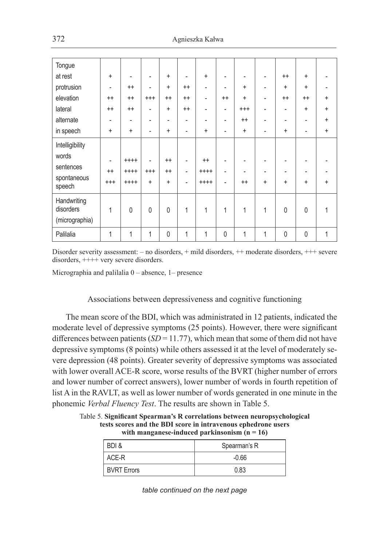| Tongue                                     |                          |                          |              |              |         |                          |                |           |                          |                          |              |   |
|--------------------------------------------|--------------------------|--------------------------|--------------|--------------|---------|--------------------------|----------------|-----------|--------------------------|--------------------------|--------------|---|
| at rest                                    | $\ddot{}$                | ٠                        |              | $\ddot{}$    | ٠       | $\ddot{}$                | ٠              | ۰         |                          | $++$                     | $\ddot{}$    |   |
| protrusion                                 | $\blacksquare$           | $^{++}$                  | ٠            | $\ddot{}$    | $^{++}$ | ٠                        | ۰              | $\ddot{}$ | $\overline{\phantom{a}}$ | $\ddot{}$                | ÷            |   |
| elevation                                  | $++$                     | $^{++}$                  | $^{+++}$     | $^{++}$      | $^{++}$ | ٠                        | $++$           | $\ddot{}$ |                          | $++$                     | $^{++}$      | ÷ |
| lateral                                    | $++$                     | $^{++}$                  | ٠            | $\ddot{}$    | $^{++}$ | ٠                        | ٠              | $^{+++}$  | -                        | $\overline{\phantom{a}}$ | ÷            | ÷ |
| alternate                                  | ٠                        | $\overline{\phantom{0}}$ |              | ٠            | ٠       | $\overline{\phantom{a}}$ | ٠              | $^{++}$   |                          | ۰                        |              |   |
| in speech                                  | $\ddot{}$                | $\ddot{}$                | ۰            | $\ddot{}$    | ٠       | $\ddot{}$                | $\overline{a}$ | $\ddot{}$ |                          | $\ddot{}$                | ٠            | + |
| Intelligibility                            |                          |                          |              |              |         |                          |                |           |                          |                          |              |   |
| words                                      | $\overline{\phantom{a}}$ | $++++$                   | ۰            | $++$         |         | $^{++}$                  | ۰              |           |                          |                          |              |   |
| sentences                                  | $++$                     | $++++$                   | $^{+++}$     | $++$         | ٠       | $++++$                   | ÷              | ۰         |                          | ٠                        | ٠            |   |
| spontaneous<br>speech                      | $^{+++}$                 | $++++$                   | $\ddot{}$    | $\ddot{}$    | ٠       | $++++$                   | ٠              | $^{++}$   | $\ddot{}$                | $\ddot{}$                | ÷            |   |
| Handwriting<br>disorders<br>(micrographia) | $\mathbf{1}$             | $\mathbf{0}$             | $\mathbf{0}$ | $\mathbf{0}$ | 1       | 1                        | 1              | 1         | 1                        | $\mathbf{0}$             | $\mathbf{0}$ |   |
| Palilalia                                  | 1                        | $\mathbf{1}$             | 1            | $\pmb{0}$    | 1       | 1                        | $\mathbf{0}$   | 1         | 1                        | $\mathbf{0}$             | $\mathbf{0}$ | 1 |

Disorder severity assessment: – no disorders, + mild disorders, ++ moderate disorders, +++ severe disorders, ++++ very severe disorders.

Micrographia and palilalia 0 – absence, 1– presence

# Associations between depressiveness and cognitive functioning

The mean score of the BDI, which was administrated in 12 patients, indicated the moderate level of depressive symptoms (25 points). However, there were significant differences between patients  $(SD = 11.77)$ , which mean that some of them did not have depressive symptoms (8 points) while others assessed it at the level of moderately severe depression (48 points). Greater severity of depressive symptoms was associated with lower overall ACE-R score, worse results of the BVRT (higher number of errors and lower number of correct answers), lower number of words in fourth repetition of list A in the RAVLT, as well as lower number of words generated in one minute in the phonemic *Verbal Fluency Test*. The results are shown in Table 5.

Table 5. **Significant Spearman's R correlations between neuropsychological tests scores and the BDI score in intravenous ephedrone users with manganese-induced parkinsonism (n = 16)**

| BDI&               | Spearman's R |
|--------------------|--------------|
| ACE-R              | $-0.66$      |
| <b>BVRT Errors</b> | 0.83         |

*table continued on the next page*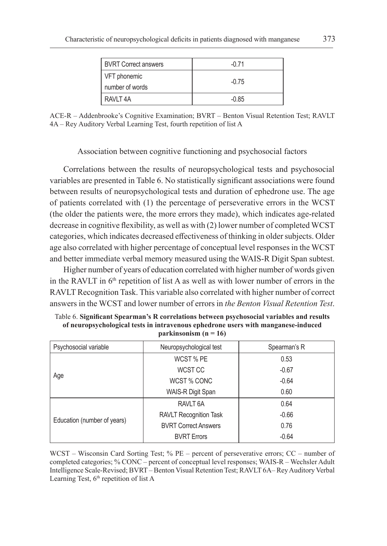| <b>BVRT Correct answers</b>     | $-0.71$ |
|---------------------------------|---------|
| VFT phonemic<br>number of words | $-0.75$ |
| RAVIT <sub>4</sub> A            | $-0.85$ |

ACE-R – Addenbrooke's Cognitive Examination; BVRT – Benton Visual Retention Test; RAVLT 4A – Rey Auditory Verbal Learning Test, fourth repetition of list A

### Association between cognitive functioning and psychosocial factors

Correlations between the results of neuropsychological tests and psychosocial variables are presented in Table 6. No statistically significant associations were found between results of neuropsychological tests and duration of ephedrone use. The age of patients correlated with (1) the percentage of perseverative errors in the WCST (the older the patients were, the more errors they made), which indicates age-related decrease in cognitive flexibility, as well as with (2) lower number of completed WCST categories, which indicates decreased effectiveness of thinking in older subjects. Older age also correlated with higher percentage of conceptual level responses in the WCST and better immediate verbal memory measured using the WAIS-R Digit Span subtest.

Higher number of years of education correlated with higher number of words given in the RAVLT in  $6<sup>th</sup>$  repetition of list A as well as with lower number of errors in the RAVLT Recognition Task. This variable also correlated with higher number of correct answers in the WCST and lower number of errors in *the Benton Visual Retention Test*.

| Psychosocial variable       | Neuropsychological test       | Spearman's R |
|-----------------------------|-------------------------------|--------------|
|                             | WCST % PE                     | 0.53         |
|                             | WCST CC                       | $-0.67$      |
| Age                         | WCST % CONC                   | $-0.64$      |
|                             | WAIS-R Digit Span             | 0.60         |
|                             | RAVLT 6A                      | 0.64         |
|                             | <b>RAVLT Recognition Task</b> | $-0.66$      |
| Education (number of years) | <b>BVRT Correct Answers</b>   | 0.76         |
|                             | <b>BVRT</b> Errors            | $-0.64$      |

Table 6. **Significant Spearman's R correlations between psychosocial variables and results of neuropsychological tests in intravenous ephedrone users with manganese-induced parkinsonism (n = 16)**

WCST – Wisconsin Card Sorting Test; % PE – percent of perseverative errors; CC – number of completed categories; % CONC – percent of conceptual level responses; WAIS-R – Wechsler Adult Intelligence Scale-Revised; BVRT – Benton Visual Retention Test; RAVLT 6A– Rey Auditory Verbal Learning Test,  $6<sup>th</sup>$  repetition of list A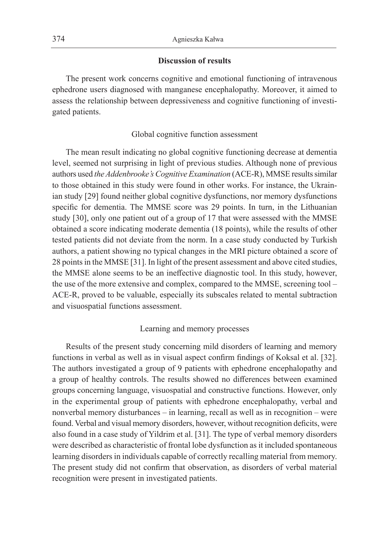### **Discussion of results**

The present work concerns cognitive and emotional functioning of intravenous ephedrone users diagnosed with manganese encephalopathy. Moreover, it aimed to assess the relationship between depressiveness and cognitive functioning of investigated patients.

#### Global cognitive function assessment

The mean result indicating no global cognitive functioning decrease at dementia level, seemed not surprising in light of previous studies. Although none of previous authors used *the Addenbrooke's Cognitive Examination* (ACE-R), MMSE results similar to those obtained in this study were found in other works. For instance, the Ukrainian study [29] found neither global cognitive dysfunctions, nor memory dysfunctions specific for dementia. The MMSE score was 29 points. In turn, in the Lithuanian study [30], only one patient out of a group of 17 that were assessed with the MMSE obtained a score indicating moderate dementia (18 points), while the results of other tested patients did not deviate from the norm. In a case study conducted by Turkish authors, a patient showing no typical changes in the MRI picture obtained a score of 28 points in the MMSE [31]. In light of the present assessment and above cited studies, the MMSE alone seems to be an ineffective diagnostic tool. In this study, however, the use of the more extensive and complex, compared to the MMSE, screening tool – ACE-R, proved to be valuable, especially its subscales related to mental subtraction and visuospatial functions assessment.

### Learning and memory processes

Results of the present study concerning mild disorders of learning and memory functions in verbal as well as in visual aspect confirm findings of Koksal et al. [32]. The authors investigated a group of 9 patients with ephedrone encephalopathy and a group of healthy controls. The results showed no differences between examined groups concerning language, visuospatial and constructive functions. However, only in the experimental group of patients with ephedrone encephalopathy, verbal and nonverbal memory disturbances – in learning, recall as well as in recognition – were found. Verbal and visual memory disorders, however, without recognition deficits, were also found in a case study of Yildrim et al. [31]. The type of verbal memory disorders were described as characteristic of frontal lobe dysfunction as it included spontaneous learning disorders in individuals capable of correctly recalling material from memory. The present study did not confirm that observation, as disorders of verbal material recognition were present in investigated patients.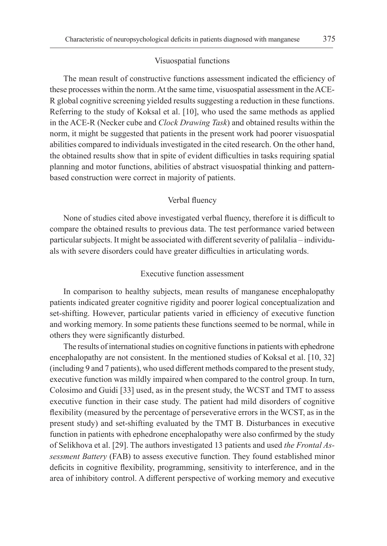#### Visuospatial functions

The mean result of constructive functions assessment indicated the efficiency of these processes within the norm. At the same time, visuospatial assessment in the ACE-R global cognitive screening yielded results suggesting a reduction in these functions. Referring to the study of Koksal et al. [10], who used the same methods as applied in the ACE-R (Necker cube and *Clock Drawing Task*) and obtained results within the norm, it might be suggested that patients in the present work had poorer visuospatial abilities compared to individuals investigated in the cited research. On the other hand, the obtained results show that in spite of evident difficulties in tasks requiring spatial planning and motor functions, abilities of abstract visuospatial thinking and patternbased construction were correct in majority of patients.

### Verbal fluency

None of studies cited above investigated verbal fluency, therefore it is difficult to compare the obtained results to previous data. The test performance varied between particular subjects. It might be associated with different severity of palilalia – individuals with severe disorders could have greater difficulties in articulating words.

# Executive function assessment

In comparison to healthy subjects, mean results of manganese encephalopathy patients indicated greater cognitive rigidity and poorer logical conceptualization and set-shifting. However, particular patients varied in efficiency of executive function and working memory. In some patients these functions seemed to be normal, while in others they were significantly disturbed.

The results of international studies on cognitive functions in patients with ephedrone encephalopathy are not consistent. In the mentioned studies of Koksal et al. [10, 32] (including 9 and 7 patients), who used different methods compared to the present study, executive function was mildly impaired when compared to the control group. In turn, Colosimo and Guidi [33] used, as in the present study, the WCST and TMT to assess executive function in their case study. The patient had mild disorders of cognitive flexibility (measured by the percentage of perseverative errors in the WCST, as in the present study) and set-shifting evaluated by the TMT B. Disturbances in executive function in patients with ephedrone encephalopathy were also confirmed by the study of Selikhova et al. [29]. The authors investigated 13 patients and used *the Frontal Assessment Battery* (FAB) to assess executive function. They found established minor deficits in cognitive flexibility, programming, sensitivity to interference, and in the area of inhibitory control. A different perspective of working memory and executive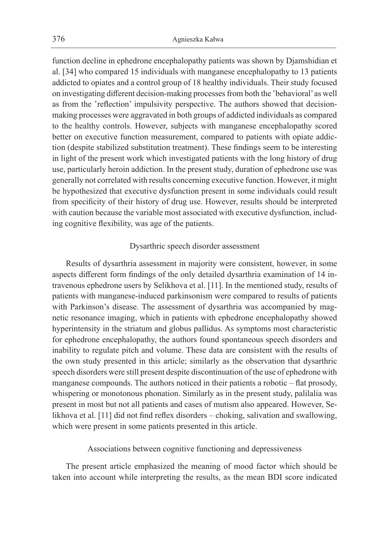function decline in ephedrone encephalopathy patients was shown by Djamshidian et al. [34] who compared 15 individuals with manganese encephalopathy to 13 patients addicted to opiates and a control group of 18 healthy individuals. Their study focused on investigating different decision-making processes from both the 'behavioral' as well as from the 'reflection' impulsivity perspective. The authors showed that decisionmaking processes were aggravated in both groups of addicted individuals as compared to the healthy controls. However, subjects with manganese encephalopathy scored better on executive function measurement, compared to patients with opiate addiction (despite stabilized substitution treatment). These findings seem to be interesting in light of the present work which investigated patients with the long history of drug use, particularly heroin addiction. In the present study, duration of ephedrone use was generally not correlated with results concerning executive function. However, it might be hypothesized that executive dysfunction present in some individuals could result from specificity of their history of drug use. However, results should be interpreted with caution because the variable most associated with executive dysfunction, including cognitive flexibility, was age of the patients.

### Dysarthric speech disorder assessment

Results of dysarthria assessment in majority were consistent, however, in some aspects different form findings of the only detailed dysarthria examination of 14 intravenous ephedrone users by Selikhova et al. [11]. In the mentioned study, results of patients with manganese-induced parkinsonism were compared to results of patients with Parkinson's disease. The assessment of dysarthria was accompanied by magnetic resonance imaging, which in patients with ephedrone encephalopathy showed hyperintensity in the striatum and globus pallidus. As symptoms most characteristic for ephedrone encephalopathy, the authors found spontaneous speech disorders and inability to regulate pitch and volume. These data are consistent with the results of the own study presented in this article; similarly as the observation that dysarthric speech disorders were still present despite discontinuation of the use of ephedrone with manganese compounds. The authors noticed in their patients a robotic – flat prosody, whispering or monotonous phonation. Similarly as in the present study, palilalia was present in most but not all patients and cases of mutism also appeared. However, Selikhova et al. [11] did not find reflex disorders – choking, salivation and swallowing, which were present in some patients presented in this article.

### Associations between cognitive functioning and depressiveness

The present article emphasized the meaning of mood factor which should be taken into account while interpreting the results, as the mean BDI score indicated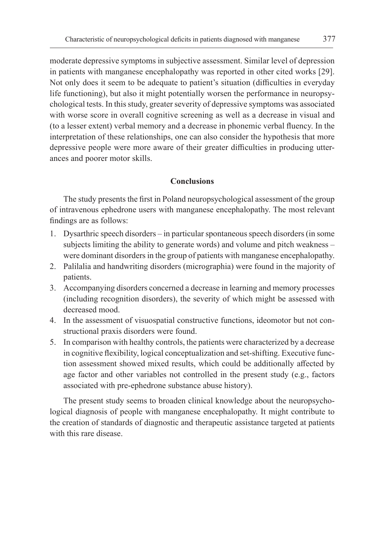moderate depressive symptoms in subjective assessment. Similar level of depression in patients with manganese encephalopathy was reported in other cited works [29]. Not only does it seem to be adequate to patient's situation (difficulties in everyday life functioning), but also it might potentially worsen the performance in neuropsychological tests. In this study, greater severity of depressive symptoms was associated with worse score in overall cognitive screening as well as a decrease in visual and (to a lesser extent) verbal memory and a decrease in phonemic verbal fluency. In the interpretation of these relationships, one can also consider the hypothesis that more depressive people were more aware of their greater difficulties in producing utterances and poorer motor skills.

# **Conclusions**

The study presents the first in Poland neuropsychological assessment of the group of intravenous ephedrone users with manganese encephalopathy. The most relevant findings are as follows:

- 1. Dysarthric speech disorders in particular spontaneous speech disorders (in some subjects limiting the ability to generate words) and volume and pitch weakness – were dominant disorders in the group of patients with manganese encephalopathy.
- 2. Palilalia and handwriting disorders (micrographia) were found in the majority of patients.
- 3. Accompanying disorders concerned a decrease in learning and memory processes (including recognition disorders), the severity of which might be assessed with decreased mood.
- 4. In the assessment of visuospatial constructive functions, ideomotor but not constructional praxis disorders were found.
- 5. In comparison with healthy controls, the patients were characterized by a decrease in cognitive flexibility, logical conceptualization and set-shifting. Executive function assessment showed mixed results, which could be additionally affected by age factor and other variables not controlled in the present study (e.g., factors associated with pre-ephedrone substance abuse history).

The present study seems to broaden clinical knowledge about the neuropsychological diagnosis of people with manganese encephalopathy. It might contribute to the creation of standards of diagnostic and therapeutic assistance targeted at patients with this rare disease.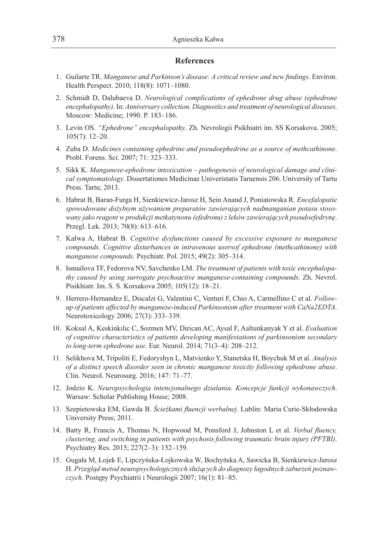### **References**

- 1. Guilarte TR. *Manganese and Parkinson's disease: A critical review and new findings*. Environ. Health Perspect. 2010; 118(8): 1071–1080.
- 2. Schmidt D, Dalubaeva D. *Neurological complications of ephedrone drug abuse (ephedrone encephalopathy)*. In: *Anniversary collection. Diagnostics and treatment of neurological diseases*. Moscow: Medicine; 1990. P. 183–186.
- 3. Levin OS. *"Ephedrone" encephalopathy*. Zh. Nevrologii Psikhiatri im. SS Korsakova. 2005; 105(7): 12–20.
- 4. Zuba D. *Medicines containing ephedrine and pseudoephedrine as a source of methcathinone*. Probl. Forens. Sci. 2007; 71: 323–333.
- 5. Sikk K. *Manganese-ephedrone intoxication pathogenesis of neurological damage and clinical symptomatology*. Dissertationes Medicinae Univeristatis Taruensis 206. University of Tartu Press. Tartu; 2013.
- 6. Habrat B, Baran-Furga H, Sienkiewicz-Jarosz H, Sein Anand J, Poniatowska R. *Encefalopatie spowodowane dożylnym używaniem preparatów zawierających nadmanganian potasu stosowany jako reagent w produkcji metkatynonu (efedronu) z leków zawierających pseudoefedrynę*. Przegl. Lek. 2013; 70(8): 613–616.
- 7. Kałwa A, Habrat B. *Cognitive dysfunctions caused by excessive exposure to manganese compounds. Cognitive disturbances in intravenous usersof ephedrone (methcathinone) with manganese compounds*. Psychiatr. Pol. 2015; 49(2): 305–314.
- 8. Ismailova TF, Fedorova NV, Savchenko LM. *The treatment of patients with toxic encephalopathy caused by using surrogate psychoactive manganese-containing compounds*. Zh. Nevrol. Pisikhiatr. Im. S. S. Korsakova 2005; 105(12): 18–21.
- 9. Herrero-Hernandez E, Discalzi G, Valentini C, Venturi F, Chio A, Carmellino C et al. *Followup of patients affected by manganese-induced Parkinsonism after treatment with CaNa2EDTA*. Neurotoxicology 2006; 27(3): 333–339.
- 10. Koksal A, Keskinkılıc C, Sozmen MV, Dirican AC, Aysal F, Aaltunkanyak Y et al. *Evaluation of cognitive characteristics of patients developing manifestations of parkinsonism secondary to long-term ephedrone use*. Eur. Neurol. 2014; 71(3–4): 208–212.
- 11. Selikhova M, Tripoliti E, Fedoryshyn L, Matvienko Y, Stanetska H, Boychuk M et al. *Analysis of a distinct speech disorder seen in chronic manganese toxicity following ephedrone abuse*. Clin. Neurol. Neurosurg. 2016; 147: 71–77.
- 12. Jodzio K. *Neuropsychologia intencjonalnego działania. Koncepcje funkcji wykonawczych*. Warsaw: Scholar Publishing House; 2008.
- 13. Szepietowska EM, Gawda B. *Ścieżkami fluencji werbalnej*. Lublin: Maria Curie-Skłodowska University Press; 2011.
- 14. Batty R, Francis A, Thomas N, Hopwood M, Ponsford J, Johnston L et al. *Verbal fluency, clustering, and switching in patients with psychosis following traumatic brain injury (PFTBI)*. Psychiatry Res. 2015; 227(2–3): 152–159.
- 15. Gugała M, Łojek E, Lipczyńska-Łojkowska W, Bochyńska A, Sawicka B, Sienkiewicz-Jarosz H. *Przegląd metod neuropsychologicznych służących do diagnozy łagodnych zaburzeń poznawczych*. Postępy Psychiatrii i Neurologii 2007; 16(1): 81–85.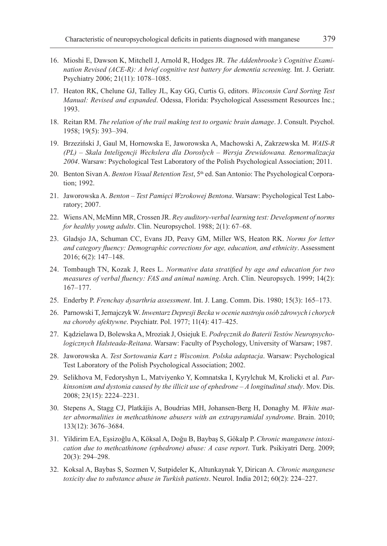- 16. Mioshi E, Dawson K, Mitchell J, Arnold R, Hodges JR. *The Addenbrooke's Cognitive Examination Revised (ACE-R): A brief cognitive test battery for dementia screening.* Int. J. Geriatr. Psychiatry 2006; 21(11): 1078–1085.
- 17. Heaton RK, Chelune GJ, Talley JL, Kay GG, Curtis G, editors. *Wisconsin Card Sorting Test Manual: Revised and expanded*. Odessa, Florida: Psychological Assessment Resources Inc.; 1993.
- 18. Reitan RM. *The relation of the trail making test to organic brain damage*. J. Consult. Psychol. 1958; 19(5): 393–394.
- 19. Brzeziński J, Gaul M, Hornowska E, Jaworowska A, Machowski A, Zakrzewska M. *WAIS-R (PL) – Skala Inteligencji Wechslera dla Dorosłych – Wersja Zrewidowana. Renormalizacja 2004*. Warsaw: Psychological Test Laboratory of the Polish Psychological Association; 2011.
- 20. Benton Sivan A. *Benton Visual Retention Test*, 5<sup>th</sup> ed. San Antonio: The Psychological Corporation; 1992.
- 21. Jaworowska A. *Benton Test Pamięci Wzrokowej Bentona*. Warsaw: Psychological Test Laboratory; 2007.
- 22. Wiens AN, McMinn MR, Crossen JR. *Rey auditory-verbal learning test: Development of norms for healthy young adults*. Clin. Neuropsychol. 1988; 2(1): 67–68.
- 23. Gladsjo JA, Schuman CC, Evans JD, Peavy GM, Miller WS, Heaton RK. *Norms for letter and category fluency: Demographic corrections for age, education, and ethnicity*. Assessment 2016; 6(2): 147–148.
- 24. Tombaugh TN, Kozak J, Rees L. *Normative data stratified by age and education for two measures of verbal fluency: FAS and animal naming*. Arch. Clin. Neuropsych. 1999; 14(2): 167–177.
- 25. Enderby P. *Frenchay dysarthria assessment*. Int. J. Lang. Comm. Dis. 1980; 15(3): 165–173.
- 26. Parnowski T, Jernajczyk W. *Inwentarz Depresji Becka w ocenie nastroju osób zdrowych i chorych na choroby afektywne*. Psychiatr. Pol. 1977; 11(4): 417–425.
- 27. Kądzielawa D, Bolewska A, Mroziak J, Osiejuk E. *Podręcznik do Baterii Testów Neuropsychologicznych Halsteada-Reitana*. Warsaw: Faculty of Psychology, University of Warsaw; 1987.
- 28. Jaworowska A. *Test Sortowania Kart z Wisconisn. Polska adaptacja*. Warsaw: Psychological Test Laboratory of the Polish Psychological Association; 2002.
- 29. Selikhova M, Fedoryshyn L, Matviyenko Y, Komnatska I, Kyrylchuk M, Krolicki et al. *Parkinsonism and dystonia caused by the illicit use of ephedrone – A longitudinal study*. Mov. Dis. 2008; 23(15): 2224–2231.
- 30. Stepens A, Stagg CJ, Platkäjis A, Boudrias MH, Johansen-Berg H, Donaghy M. *White matter abnormalities in methcathinone abusers with an extrapyramidal syndrome*. Brain. 2010; 133(12): 3676–3684.
- 31. Yildirim EA, Eşsizoğlu A, Köksal A, Doğu B, Baybaş S, Gökalp P. *Chronic manganese intoxication due to methcathinone (ephedrone) abuse: A case report*. Turk. Psikiyatri Derg. 2009; 20(3): 294–298.
- 32. Koksal A, Baybas S, Sozmen V, Sutpideler K, Altunkaynak Y, Dirican A. *Chronic manganese toxicity due to substance abuse in Turkish patients*. Neurol. India 2012; 60(2): 224–227.